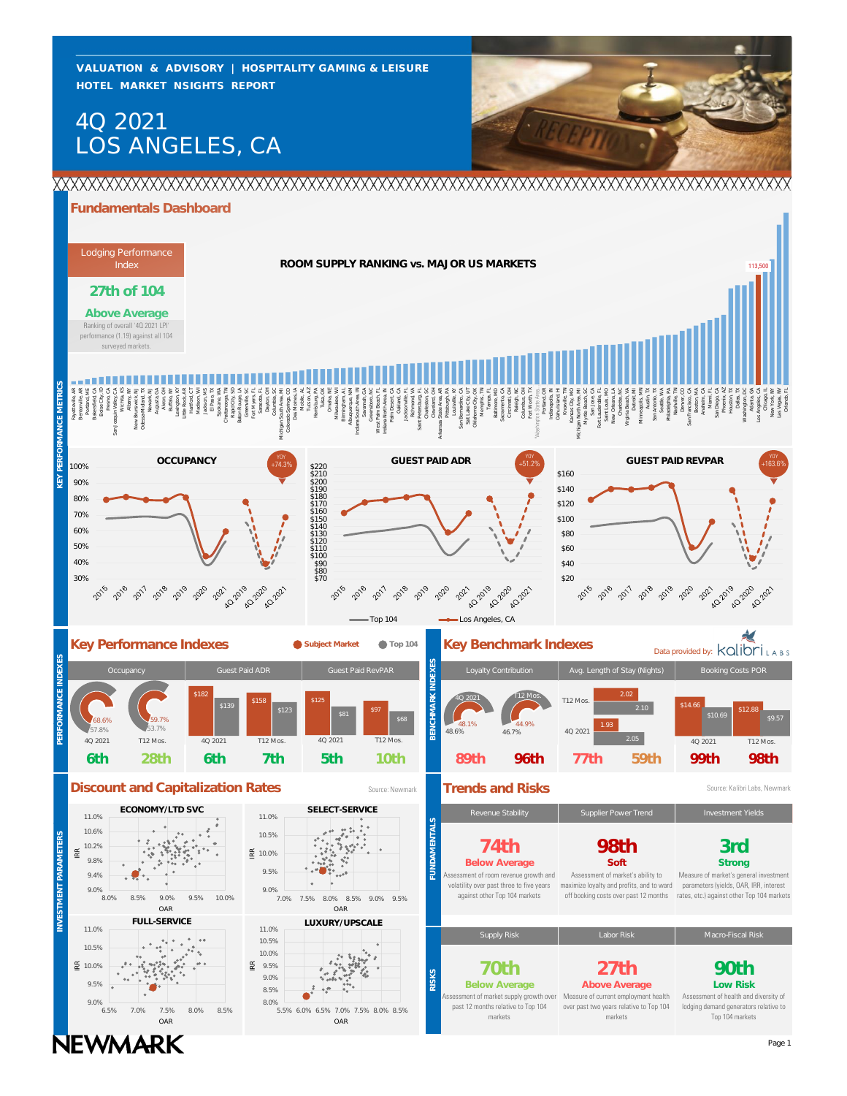**HOTEL MARKET NSIGHTS REPORT VALUATION & ADVISORY | HOSPITALITY GAMING & LEISURE**

# LOS ANGELES, CA 4Q 2021



### **Fundamentals Dashboard**

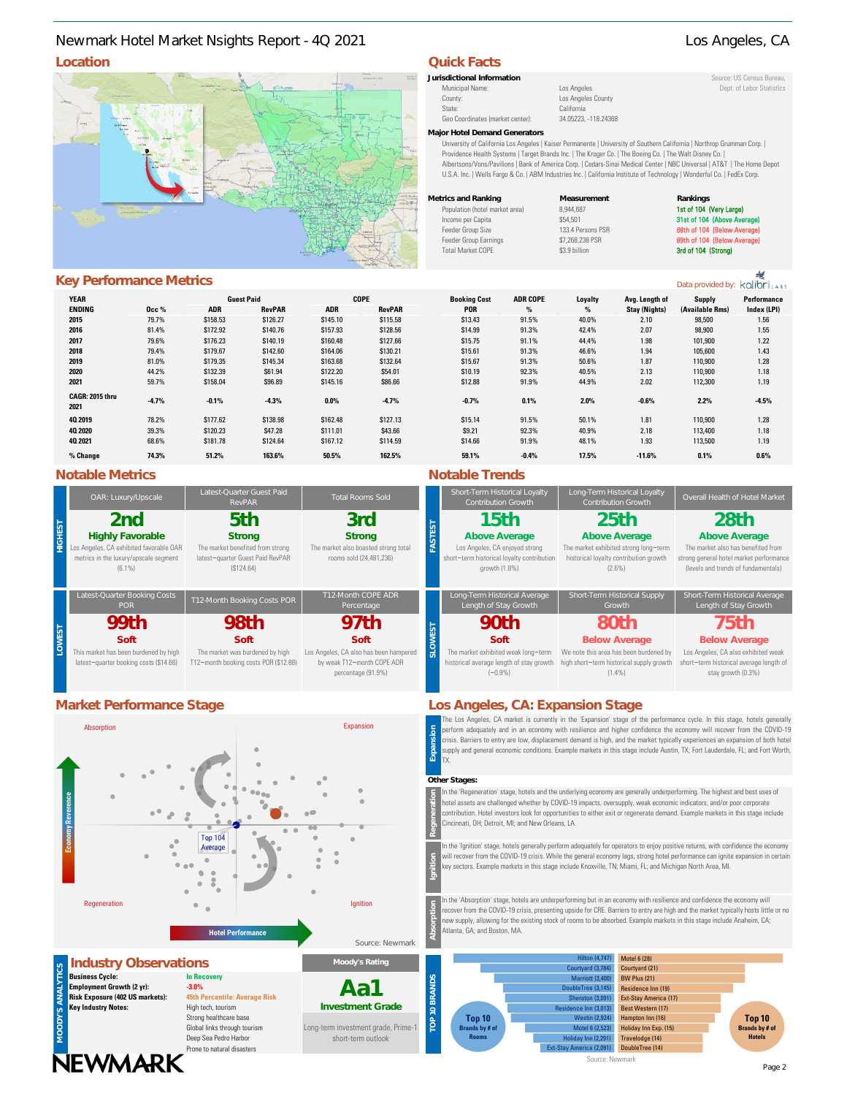### **Location Quick Facts** Newmark Hotel Market Nsights Report - 4Q 2021 Los Angeles, CA

### **Key Performance Metrics**

| Key Performance Metrics |         |            |                   |             |               |                     |                 |         |                      | Data provided by: kolibriLABS |             |
|-------------------------|---------|------------|-------------------|-------------|---------------|---------------------|-----------------|---------|----------------------|-------------------------------|-------------|
| <b>YEAR</b>             |         |            | <b>Guest Paid</b> | <b>COPE</b> |               | <b>Booking Cost</b> | <b>ADR COPE</b> | Loyalty | Avg. Length of       | Supply                        | Performance |
| <b>ENDING</b>           | Осс%    | <b>ADR</b> | <b>RevPAR</b>     | <b>ADR</b>  | <b>RevPAR</b> | <b>POR</b>          | %               | $\%$    | <b>Stay (Nights)</b> | (Available Rms)               | Index (LPI) |
| 2015                    | 79.7%   | \$158.53   | \$126.27          | \$145.10    | \$115.58      | \$13.43             | 91.5%           | 40.0%   | 2.10                 | 98,500                        | 1.56        |
| 2016                    | 81.4%   | \$172.92   | \$140.76          | \$157.93    | \$128.56      | \$14.99             | 91.3%           | 42.4%   | 2.07                 | 98,900                        | 1.55        |
| 2017                    | 79.6%   | \$176.23   | \$140.19          | \$160.48    | \$127.66      | \$15.75             | 91.1%           | 44.4%   | 1.98                 | 101,900                       | 1.22        |
| 2018                    | 79.4%   | \$179.67   | \$142.60          | \$164.06    | \$130.21      | \$15.61             | 91.3%           | 46.6%   | 1.94                 | 105,600                       | 1.43        |
| 2019                    | 81.0%   | \$179.35   | \$145.34          | \$163.68    | \$132.64      | \$15.67             | 91.3%           | 50.6%   | 1.87                 | 110,900                       | 1.28        |
| 2020                    | 44.2%   | \$132.39   | \$61.94           | \$122.20    | \$54.01       | \$10.19             | 92.3%           | 40.5%   | 2.13                 | 110,900                       | 1.18        |
| 2021                    | 59.7%   | \$158.04   | \$96.89           | \$145.16    | \$86.66       | \$12.88             | 91.9%           | 44.9%   | 2.02                 | 112,300                       | 1.19        |
| CAGR: 2015 thru<br>2021 | $-4.7%$ | $-0.1%$    | $-4.3%$           | 0.0%        | $-4.7%$       | $-0.7%$             | 0.1%            | 2.0%    | $-0.6%$              | 2.2%                          | $-4.5%$     |
| 40 2019                 | 78.2%   | \$177.62   | \$138.98          | \$162.48    | \$127.13      | \$15.14             | 91.5%           | 50.1%   | 1.81                 | 110,900                       | 1.28        |
| 40, 2020                | 39.3%   | \$120.23   | \$47.28           | \$111.01    | \$43.66       | \$9.21              | 92.3%           | 40.9%   | 2.18                 | 113,400                       | 1.18        |
| 40 2021                 | 68.6%   | \$181.78   | \$124.64          | \$167.12    | \$114.59      | \$14.66             | 91.9%           | 48.1%   | 1.93                 | 113,500                       | 1.19        |
| % Change                | 74.3%   | 51.2%      | 163.6%            | 50.5%       | 162.5%        | 59.1%               | $-0.4%$         | 17.5%   | $-11.6%$             | 0.1%                          | 0.6%        |

### **Notable Metrics Notable Trends**

| OAR: Luxury/Upscale                                                                                                             | Latest-Quarter Guest Paid<br>RevPAR                                                                | <b>Total Rooms Sold</b>                                                                    | Short-Term Historical Loyalty<br>Contribution Growth                                                                   | Long-Term Historical Loyalty<br><b>Contribution Growth</b>                                                            | Overall Health of Hotel M                                                                                                     |
|---------------------------------------------------------------------------------------------------------------------------------|----------------------------------------------------------------------------------------------------|--------------------------------------------------------------------------------------------|------------------------------------------------------------------------------------------------------------------------|-----------------------------------------------------------------------------------------------------------------------|-------------------------------------------------------------------------------------------------------------------------------|
| 2nd<br><b>Highly Favorable</b><br>Los Angeles, CA exhibited favorable OAR<br>metrics in the luxury/upscale segment<br>$(6.1\%)$ | 5th<br>Strong<br>The market benefited from strong<br>latest-quarter Guest Paid RevPAR<br>(S124.64) | 3rd<br>Strong<br>The market also boasted strong total<br>rooms sold (24,481,236)           | 15th<br>Above Average<br>Los Angeles, CA enjoyed strong<br>short-term historical loyalty contribution<br>growth (1.8%) | 25th<br>Above Average<br>The market exhibited strong long-term<br>historical loyalty contribution growth<br>$(2.6\%)$ | 28th<br>Above Average<br>The market also has benefited<br>strong general hotel market perfo<br>(levels and trends of fundamer |
| Latest-Quarter Booking Costs<br><b>POR</b>                                                                                      | T12-Month Booking Costs POR                                                                        | T12-Month COPE ADR<br>Percentage                                                           | Long-Term Historical Average<br>Length of Stay Growth                                                                  | Short-Term Historical Supply<br>Growth                                                                                | Short-Term Historical Ave<br>Length of Stay Growt                                                                             |
| 99th                                                                                                                            | 98th                                                                                               | 97th                                                                                       | 90 <sub>th</sub>                                                                                                       | 80th                                                                                                                  | 75th                                                                                                                          |
| Soft                                                                                                                            | Soft                                                                                               | Soft                                                                                       | Soft                                                                                                                   | <b>Below Average</b>                                                                                                  | <b>Below Average</b>                                                                                                          |
| This market has been burdened by high<br>latest-quarter booking costs (\$14.66)                                                 | The market was burdened by high<br>T12-month booking costs POR (\$12.88)                           | Los Angeles, CA also has been hampered<br>by weak T12-month COPE ADR<br>percentage (91.9%) | The market exhibited weak long-term<br>historical average length of stay growth<br>$(-0.9% )$                          | We note this area has been burdened by<br>high short-term historical supply growth<br>$(1.4\%)$                       | Los Angeles, CA also exhibited<br>short-term historical average le<br>stay growth (0.3%)                                      |



Deep Sea Pedro Harbor

Long-term investment grade, Prime-1 short-term outlook

# **Jurisdictional Information** Source: US Census Bureau,

Municipal Name: Los Angeles Los Angeles Dept. of Labor Statistics<br>
County: Los Angeles County Los Angeles County State: California Geo Coordinates (market center): 34.05223, -118.24368

Los Angeles County

#### **Major Hotel Demand Generators**

University of California Los Angeles | Kaiser Permanente | University of Southern California | Northrop Grumman Corp. | Providence Health Systems | Target Brands Inc. | The Kroger Co. | The Boeing Co. | The Walt Disney Co. | Albertsons/Vons/Pavilions | Bank of America Corp. | Cedars-Sinai Medical Center | NBC Universal | AT&T | The Home Depot U.S.A. Inc. | Wells Fargo & Co. | ABM Industries Inc. | California Institute of Technology | Wonderful Co. | FedEx Corp.

| Metrics and Ranking            | Measurement       | Rankings               |
|--------------------------------|-------------------|------------------------|
| Population (hotel market area) | 8.944.687         | 1st of 104 (Very Large |
| Income per Capita              | \$54.501          | 31st of 104 (Above Av  |
| Feeder Group Size              | 133.4 Persons PSR | 88th of 104 (Below Ay  |
| Feeder Group Earnings          | \$7,268,238 PSR   | 89th of 104 (Below Av  |
| <b>Total Market COPE</b>       | \$3.9 billion     | 3rd of 104 (Strong)    |
|                                |                   |                        |

#### **Strong Above Average Above Average Above Average** Short-Term Historical Loyalty Contribution Growth The market exhibited strong long−term historical loyalty contribution growth (2.6%) The market also has benefited from Long-Term Historical Loyalty **25th 28th** Los Angeles, CA enjoyed strong short−term historical loyalty contribution growth (1.8%) **15th**

### strong general hotel market performance (levels and trends of fundamentals)

| Long-Term Historical Average<br>Length of Stay Growth | Short-Term Historical Supply<br>Growth   | Short-Term Historical Average<br>Length of Stay Growth |
|-------------------------------------------------------|------------------------------------------|--------------------------------------------------------|
| 90 <sub>th</sub>                                      | 80th                                     | 75th                                                   |
| Soft                                                  | <b>Below Average</b>                     | <b>Below Average</b>                                   |
| The market exhibited weak long-term                   | We note this area has been burdened by   | Los Angeles, CA also exhibited weak                    |
| historical average length of stay growth              | high short-term historical supply growth | short-term historical average length of                |
| $(-0.9% )$                                            | $(1.4\%)$                                | stay growth (0.3%)                                     |

### **Market Performance Stage Los Angeles, CA: Expansion Stage**

he Los Angeles, CA market is currently in the 'Expansion' stage of the performance cycle. In this stage, hotels generally perform adequately and in an economy with resilience and higher confidence the economy will recover from the COVID-19 crisis. Barriers to entry are low, displacement demand is high, and the market typically experiences an expansion of both hotel supply and general economic conditions. Example markets in this stage include Austin, TX; Fort Lauderdale, FL; and Fort Worth, **Expansion** TX.

#### **Other Stages:**

In the 'Regeneration' stage, hotels and the underlying economy are generally underperforming. The highest and best uses of hotel assets are challenged whether by COVID-19 impacts, oversupply, weak economic indicators, and/or poor corporate contribution. Hotel investors look for opportunities to either exit or regenerate demand. Example markets in this stage include Cincinnati, OH; Detroit, MI; and New Orleans, LA.

In the 'Ignition' stage, hotels generally perform adequately for operators to enjoy positive returns, with confidence the economy will recover from the COVID-19 crisis. While the general economy lags, strong hotel performance can ignite expansion in certain key sectors. Example markets in this stage include Knoxville, TN; Miami, FL; and Michigan North Area, MI.

In the 'Absorption' stage, hotels are underperforming but in an economy with resilience and confidence the economy will recover from the COVID-19 crisis, presenting upside for CRE. Barriers to entry are high and the market typically hosts little or no ew supply, allowing for the existing stock of rooms to be absorbed. Example markets in this stage include Anaheim, CA; Atlanta, GA; and Boston, MA.



### Prone to natural disasters **NEWMARK**